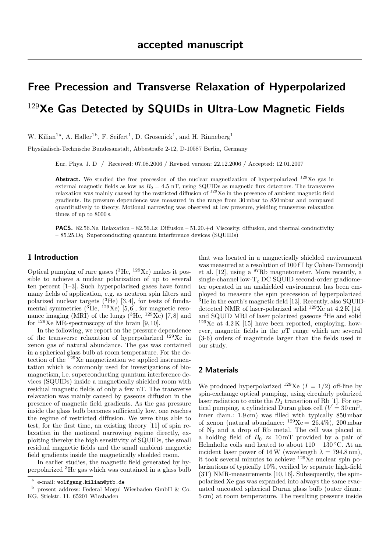# Free Precession and Transverse Relaxation of Hyperpolarized  $129$ Xe Gas Detected by SQUIDs in Ultra-Low Magnetic Fields

W. Kilian<sup>1a</sup>, A. Haller<sup>1b</sup>, F. Seifert<sup>1</sup>, D. Grosenick<sup>1</sup>, and H. Rinneberg<sup>1</sup>

Physikalisch-Technische Bundesanstalt, Abbestraße 2-12, D-10587 Berlin, Germany

Eur. Phys. J. D / Received: 07.08.2006 / Revised version: 22.12.2006 / Accepted: 12.01.2007

**Abstract.** We studied the free precession of the nuclear magnetization of hyperpolarized  $129$ Xe gas in external magnetic fields as low as  $B_0 = 4.5$  nT, using SQUIDs as magnetic flux detectors. The transverse relaxation was mainly caused by the restricted diffusion of  $129$ Xe in the presence of ambient magnetic field gradients. Its pressure dependence was measured in the range from 30 mbar to 850 mbar and compared quantitatively to theory. Motional narrowing was observed at low pressure, yielding transverse relaxation times of up to 8000 s.

PACS. 82.56.Na Relaxation – 82.56.Lz Diffusion – 51.20.+d Viscosity, diffusion, and thermal conductivity – 85.25.Dq Superconducting quantum interference devices (SQUIDs)

### 1 Introduction

Optical pumping of rare gases  $({}^{3}He, {}^{129}Xe)$  makes it possible to achieve a nuclear polarization of up to several ten percent [1–3]. Such hyperpolarized gases have found many fields of application, e.g. as neutron spin filters and polarized nuclear targets  $(^{3}He)$  [3,4], for tests of fundamental symmetries  $({}^{3}$ He,  $^{129}Xe)$  [5,6], for magnetic resonance imaging (MRI) of the lungs  $({}^{3}He, {}^{129}Xe)$  [7,8] and for  $129Xe$  MR-spectroscopy of the brain [9,10].

In the following, we report on the pressure dependence of the transverse relaxation of hyperpolarized <sup>129</sup>Xe in xenon gas of natural abundance. The gas was contained in a spherical glass bulb at room temperature. For the detection of the  $^{129}$ Xe magnetization we applied instrumentation which is commonly used for investigations of biomagnetism, i.e. superconducting quantum interference devices (SQUIDs) inside a magnetically shielded room with residual magnetic fields of only a few nT. The transverse relaxation was mainly caused by gaseous diffusion in the presence of magnetic field gradients. As the gas pressure inside the glass bulb becomes sufficiently low, one reaches the regime of restricted diffusion. We were thus able to test, for the first time, an existing theory [11] of spin relaxation in the motional narrowing regime directly, exploiting thereby the high sensitivity of SQUIDs, the small residual magnetic fields and the small ambient magnetic field gradients inside the magnetically shielded room.

In earlier studies, the magnetic field generated by hyperpolarized <sup>3</sup>He gas which was contained in a glass bulb that was located in a magnetically shielded environment was measured at a resolution of 100 fT by Cohen-Tannoudji et al. [12], using a <sup>87</sup>Rb magnetometer. More recently, a single-channel low- $T_c$  DC SQUID second-order gradiometer operated in an unshielded environment has been employed to measure the spin precession of hyperpolarized  $3^3$ He in the earth's magnetic field [13]. Recently, also SQUIDdetected NMR of laser-polarized solid  $^{129}Xe$  at  $4.2 K$  [14] and SQUID MRI of laser polarized gaseous <sup>3</sup>He and solid  $129$ Xe at  $4.2$ K [15] have been reported, employing, however, magnetic fields in the  $\mu$ T range which are several (3-6) orders of magnitude larger than the fields used in our study.

## 2 Materials

We produced hyperpolarized <sup>129</sup>Xe  $(I = 1/2)$  off-line by spin-exchange optical pumping, using circularly polarized laser radiation to exite the  $D_1$  transition of Rb [1]. For optical pumping, a cylindrical Duran glass cell  $(V = 30 \text{ cm}^3)$ , inner diam.: 1.9 cm) was filled with typically 850 mbar of xenon (natural abundance:  $129Xe = 26.4\%$ ), 200 mbar of N<sup>2</sup> and a drop of Rb metal. The cell was placed in a holding field of  $B_0 \approx 10 \,\mathrm{mT}$  provided by a pair of Helmholtz coils and heated to about  $110 - 130$  °C. At an incident laser power of 16 W (wavelength  $\lambda = 794.8 \text{ nm}$ ), it took several minutes to achieve  ${}^{129}\mathrm{Xe}$  nuclear spin polarizations of typically 10%, verified by separate high-field (3T) NMR-measurements [10,16]. Subsequently, the spinpolarized Xe gas was expanded into always the same evacuated uncoated spherical Duran glass bulb (outer diam.: 5 cm) at room temperature. The resulting pressure inside

a e-mail: wolfgang.kilian@ptb.de

b present address: Federal Mogul Wiesbaden GmbH & Co. KG, Stielstr. 11, 65201 Wiesbaden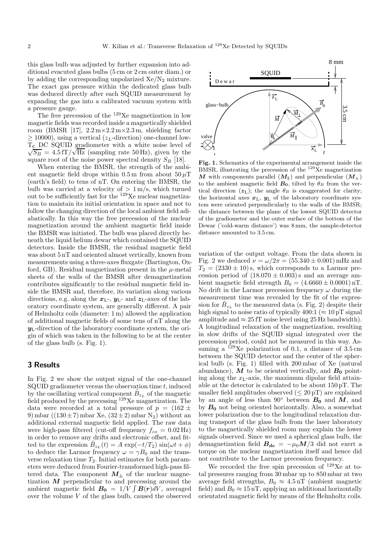this glass bulb was adjusted by further expansion into additional evacuted glass bulbs (5 cm or 2 cm outer diam.) or by adding the corresponding unpolarized  $Xe/N_2$  mixture. The exact gas pressure within the dedicated glass bulb was deduced directly after each SQUID measurement by expanding the gas into a calibrated vacuum system with a pressure gauge.

The free precession of the <sup>129</sup>Xe magnetization in low magnetic fields was recorded inside a magnetically shielded room (BMSR [17],  $2.2 \text{ m} \times 2.2 \text{ m} \times 2.3 \text{ m}$ , shielding factor  $\geq$  10000), using a vertical ( $z<sub>L</sub>$ -direction) one-channel low- $\sqrt{S_B}$  = 4.5 fT/ $\sqrt{Hz}$  (sampling rate 50 Hz), given by the Tc DC SQUID gradiometer with a white noise level of square root of the noise power spectral density  $S_B$  [18].

When entering the BMSR, the strength of the ambient magnetic field drops within 0.5 m from about  $50 \mu$ T (earth's field) to tens of nT. On entering the BMSR, the bulb was carried at a velocity of  $> 1 \,\mathrm{m/s}$ , which turned out to be sufficiently fast for the <sup>129</sup>Xe nuclear magnetization to maintain its initial orientation in space and not to follow the changing direction of the local ambient field adiabatically. In this way the free precession of the nuclear magnetization around the ambient magnetic field inside the BMSR was initiated. The bulb was placed directly beneath the liquid helium dewar which contained the SQUID detectors. Inside the BMSR, the residual magnetic field was about 5 nT and oriented almost vertically, known from measurements using a three-axes fluxgate (Bartington, Oxford, GB). Residual magnetization present in the  $\mu$ -metal sheets of the walls of the BMSR after demagnetization contributes significantly to the residual magnetic field inside the BMSR and, therefore, its variation along various directions, e.g. along the  $x_{\text{L-}}$ ,  $y_{\text{L-}}$  and  $z_{\text{L-}}$  axes of the laboratory coordinate system, are generally different. A pair of Helmholtz coils (diameter: 1 m) allowed the application of additional magnetic fields of some tens of nT along the  $y_L$ -direction of the laboratory coordinate system, the origin of which was taken in the following to be at the center of the glass bulb (s. Fig. 1).

#### 3 Results

In Fig. 2 we show the output signal of the one-channel SQUID gradiometer versus the observation time  $t$ , induced by the oscillating vertical component  $\tilde{B}_{z_L}$  of the magnetic field produced by the precessing <sup>129</sup>Xe magnetization. The data were recorded at a total pressure of  $p = (162 \pm$ 9) mbar ((130 $\pm$ 7) mbar Xe, (32 $\pm$ 2) mbar N<sub>2</sub>) without an additional external magnetic field applied. The raw data were high-pass filtered (cut-off frequency  $f_{co} = 0.02 \text{ Hz}$ ) in order to remove any drifts and electronic offset, and fitted to the expression  $\tilde{B}_{z_L}(t) = A \exp(-t/T_2) \sin(\omega t + \phi)$ to deduce the Larmor frequency  $\omega = \gamma B_0$  and the transverse relaxation time  $T_2$ . Initial estimates for both parameters were deduced from Fourier-transformed high-pass filtered data. The component  $M_{\perp}$  of the nuclear magnetization  $M$  perpendicular to and precessing around the ambient magnetic field  $B_0 = 1/V \int B(r) dV$ , averaged over the volume V of the glass bulb, caused the observed



Fig. 1. Schematics of the experimental arrangement inside the BMSR, illustrating the precession of the  $129Xe$  magnetization M with components parallel  $(M_{\parallel})$  and perpendicular  $(M_{\perp})$ to the ambient magnetic field  $B_0$ , tilted by  $\theta_B$  from the vertical direction  $(z_L)$ ; the angle  $\theta_B$  is exaggerated for clarity; the horizontal axes  $x_L$ ,  $y_L$  of the laboratory coordinate system were oriented perpendicularly to the walls of the BMSR; the distance between the plane of the lowest SQUID detector of the gradiometer and the outer surface of the bottom of the Dewar ('cold-warm distance') was 8 mm, the sample-detector distance amounted to 3.5 cm.

variation of the output voltage. From the data shown in Fig. 2 we deduced  $\nu = \omega/2\pi = (55.340 \pm 0.001)$  mHz and  $T_2 = (2330 \pm 10)$  s, which corresponds to a Larmor precession period of  $(18.070 \pm 0.003)$  s and an average ambient magnetic field strength  $B_0 = (4.6660 \pm 0.0001) \,\text{nT}$ . No drift in the Larmor precession frequency  $\omega$  during the measurement time was revealed by the fit of the expression for  $\tilde{B}_{z_L}$  to the measured data (s. Fig. 2) despite their high signal to noise ratio of typically 400:1 ( $\approx 10 \,\mathrm{pT}$  signal amplitude and  $\approx 25$  fT noise level using 25 Hz bandwidth). A longitudinal relaxation of the magnetization, resulting in slow drifts of the SQUID signal integrated over the precession period, could not be measured in this way. Assuming a <sup>129</sup>Xe polarization of 0.1, a distance of  $3.5 \text{ cm}$ between the SQUID detector and the center of the spherical bulb (s. Fig. 1) filled with 200 mbar of Xe (natural abundance), M to be oriented vertically, and  $B_0$  pointing along the  $x<sub>L</sub>$ -axis, the maximum dipolar field attainable at the detector is calculated to be about 150 pT. The smaller field amplitudes observed  $(\leq 20 \,\mathrm{pT})$  are explained by an angle of less than  $90°$  between  $B_0$  and  $M$ , and by  $B_0$  not being oriented horizontally. Also, a somewhat lower polarization due to the longitudinal relaxation during transport of the glass bulb from the laser laboratory to the magnetically shielded room may explain the lower signals observed. Since we used a spherical glass bulb, the demagnetization field  $B_{de} = -\mu_0 M/3$  did not exert a torque on the nuclear magnetization itself and hence did not contribute to the Larmor precession frequency.

We recorded the free spin precession of <sup>129</sup>Xe at total pressures ranging from 30 mbar up to 850 mbar at two average field strengths,  $B_0 \approx 4.5 \,\text{nT}$  (ambient magnetic field) and  $B_0 \approx 15 \,\mathrm{nT}$ , applying an additional horizontally orientated magnetic field by means of the Helmholtz coils.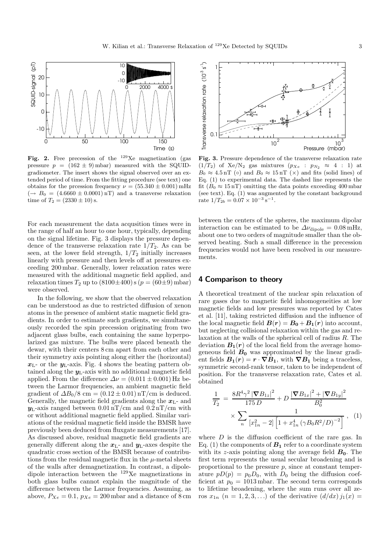

Fig. 2. Free precession of the  $^{129}Xe$  magnetization (gas pressure  $p = (162 \pm 9)$  mbar) measured with the SQUIDgradiometer. The insert shows the signal observed over an extended period of time. From the fitting procedure (see text) one obtains for the prcession frequency  $\nu = (55.340 \pm 0.001) \text{ mHz}$  $\left(\rightarrow B_0 = (4.6660 \pm 0.0001) \,\text{nT}\right)$  and a transverse relaxation time of  $T_2 = (2330 \pm 10)$  s.

For each measurement the data acqusition times were in the range of half an hour to one hour, typically, depending on the signal lifetime. Fig. 3 displays the pressure dependence of the transverse relaxation rate  $1/T_2$ . As can be seen, at the lower field strength,  $1/T_2$  initially increases linearly with pressure and then levels off at pressures exceeding 200 mbar. Generally, lower relaxation rates were measured with the additional magnetic field applied, and relaxation times  $T_2$  up to  $(8100\pm400)$  s  $(p = (60\pm9)$  mbar) were observed.

In the following, we show that the observed relaxation can be understood as due to restricted diffusion of xenon atoms in the presence of ambient static magnetic field gradients. In order to estimate such gradients, we simultaneously recorded the spin precession originating from two adjacent glass bulbs, each containing the same hyperpolarized gas mixture. The bulbs were placed beneath the dewar, with their centers 8 cm apart from each other and their symmetry axis pointing along either the (horizontal)  $x_{\text{L}}$ - or the  $y_{\text{L}}$ -axis. Fig. 4 shows the beating pattern obtained along the  $y_L$ -axis with no additional magnetic field applied. From the difference  $\Delta \nu = (0.011 \pm 0.001)$  Hz between the Larmor frequencies, an ambient magnetic field gradient of  $\Delta B_0/8$  cm = (0.12 ± 0.01) nT/cm is deduced. Generally, the magnetic field gradients along the  $x_{\text{L}}$ - and  $y_L$ -axis ranged between  $0.01 \text{nT/cm}$  and  $0.2 \text{nT/cm}$  with or without additional magnetic field applied. Similar variations of the residual magnetic field inside the BMSR have previously been deduced from fluxgate measurements [17]. As discussed above, residual magnetic field gradients are generally different along the  $x_L$ - and  $y_L$ -axes despite the quadratic cross section of the BMSR because of contributions from the residual magnetic flux in the  $\mu$ -metal sheets of the walls after demagnetization. In contrast, a dipoledipole interaction between the <sup>129</sup>Xe magnetizations in both glass bulbs cannot explain the magnitude of the difference between the Larmor frequencies. Assuming, as above,  $P_{Xe} = 0.1$ ,  $p_{Xe} = 200$  mbar and a distance of 8 cm



Fig. 3. Pressure dependence of the transverse relaxation rate (1/T<sub>2</sub>) of Xe/N<sub>2</sub> gas mixtures ( $p_{Xe}$  :  $p_{N_2} \approx 4$  : 1) at  $B_0 \approx 4.5 \,\mathrm{nT}$  ( $\circ$ ) and  $B_0 \approx 15 \,\mathrm{nT}$  ( $\times$ ) and fits (solid lines) of Eq. (1) to experimental data. The dashed line represents the fit  $(B_0 \approx 15 \,\mathrm{nT})$  omitting the data points exceeding 400 mbar (see text). Eq. (1) was augmented by the constant background rate  $1/T_{2b} = 0.07 \times 10^{-3} \text{ s}^{-1}$ .

between the centers of the spheres, the maximum dipolar interaction can be estimated to be  $\Delta v_{\text{dipole}} = 0.08 \text{ mHz}$ , about one to two orders of magnitude smaller than the observed beating. Such a small difference in the precession frequencies would not have been resolved in our measurements.

#### 4 Comparison to theory

A theoretical treatment of the nuclear spin relaxation of rare gases due to magnetic field inhomogeneities at low magnetic fields and low pressures was reported by Cates et al. [11], taking restricted diffusion and the influence of the local magnetic field  $B(r) = B_0 + B_1(r)$  into account, but neglecting collisional relaxation within the gas and relaxation at the walls of the spherical cell of radius R. The deviation  $B_1(r)$  of the local field from the average homogeneous field  $B_0$  was approximated by the linear gradient fields  $B_1(r) = r \cdot \nabla B_1$ , with  $\nabla B_1$  being a traceless, symmetric second-rank tensor, taken to be independent of position. For the transverse relaxation rate, Cates et al. obtained

$$
\frac{1}{T_2} = \frac{8R^4\gamma^2 |\nabla B_{1z}|^2}{175 D} + D \frac{|\nabla B_{1x}|^2 + |\nabla B_{1y}|^2}{B_0^2} \times \sum_n \frac{1}{[x_{1n}^2 - 2] \left[1 + x_{1n}^4 (\gamma B_0 R^2/D)^{-2}\right]},
$$
(1)

where  $D$  is the diffusion coefficient of the rare gas. In Eq. (1) the components of  $B_1$  refer to a coordinate system with its z-axis pointing along the average field  $B_0$ . The first term represents the usual secular broadening and is proportional to the pressure  $p$ , since at constant temperature  $pD(p) = p_0D_0$ , with  $D_0$  being the diffusion coefficient at  $p_0 = 1013$  mbar. The second term corresponds to lifetime broadening, where the sum runs over all zeros  $x_{1n}$   $(n = 1, 2, 3, ...)$  of the derivative  $(d/dx) j_1(x) =$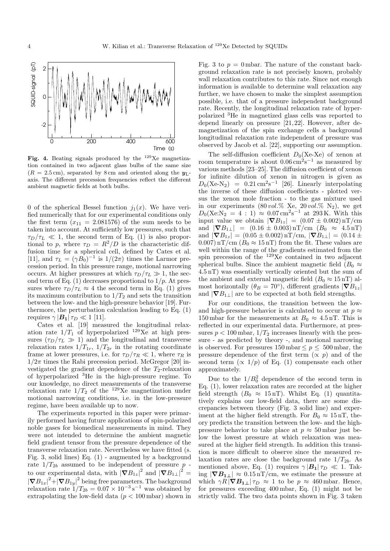

Fig. 4. Beating signals produced by the  $129$ Xe magnetization contained in two adjacent glass bulbs of the same size  $(R = 2.5 \text{ cm})$ , separated by 8 cm and oriented along the  $y_L$ axis. The different precession frequencies reflect the different ambient magnetic fields at both bulbs.

0 of the spherical Bessel function  $j_1(x)$ . We have verified numerically that for our experimental conditions only the first term  $(x_{11} = 2.081576)$  of the sum needs to be taken into account. At sufficiently low pressures, such that  $\tau_D/\tau_L \ll 1$ , the second term of Eq. (1) is also proportional to p, where  $\tau_D = R^2/D$  is the characteristic diffusion time for a spherical cell, defined by Cates et al. [11], and  $\tau_L = (\gamma B_0)^{-1}$  is  $1/(2\pi)$  times the Larmor precession period. In this pressure range, motional narrowing occurs. At higher pressures at which  $\tau_D/\tau_L \gg 1$ , the second term of Eq.  $(1)$  decreases proportional to  $1/p$ . At pressures where  $\tau_D/\tau_L \approx 4$  the second term in Eq. (1) gives its maximum contribution to  $1/T_2$  and sets the transition between the low- and the high-pressure behavior [19]. Furthermore, the perturbation calculation leading to Eq. (1) requires  $\gamma |\mathbf{B}_1| \tau_D \ll 1$  [11].

Cates et al. [19] measured the longitudinal relaxation rate  $1/T_1$  of hyperpolarized <sup>129</sup>Xe at high pressures  $(\tau_D/\tau_L \gg 1)$  and the longitudinal and transverse relaxation rates  $1/T_{1r}$ ,  $1/T_{2r}$  in the rotating coordinate frame at lower pressures, i.e. for  $\tau_D/\tau_R \ll 1$ , where  $\tau_R$  is  $1/2\pi$  times the Rabi precession period. McGregor [20] investigated the gradient dependence of the  $T_2$ -relaxation of hyperpolarized <sup>3</sup>He in the high-pressure regime. To our knowledge, no direct measurements of the transverse relaxation rate  $1/T_2$  of the <sup>129</sup>Xe magnetization under motional narrowing conditions, i.e. in the low-pressure regime, have been available up to now.

The experiments reported in this paper were primarily performed having future applications of spin-polarized noble gases for biomedical measurements in mind. They were not intended to determine the ambient magnetic field gradient tensor from the pressure dependence of the transverse relaxation rate. Nevertheless we have fitted (s. Fig. 3, solid lines) Eq. (1) - augmented by a background rate  $1/T_{2b}$  assumed to be independent of pressure p to our experimental data, with  $|\nabla B_{1z}|^2$  and  $|\nabla B_{1\perp}|^2$  =  $|\nabla B_{1x}|^2 + |\nabla B_{1y}|^2$  being free parameters. The background relaxation rate  $1/T_{2b} = 0.07 \times 10^{-3} \text{ s}^{-1}$  was obtained by extrapolating the low-field data  $(p < 100 \text{ mbar})$  shown in Fig. 3 to  $p = 0$  mbar. The nature of the constant background relaxation rate is not precisely known, probably wall relaxation contributes to this rate. Since not enough information is available to determine wall relaxation any further, we have chosen to make the simplest assumption possible, i.e. that of a pressure independent background rate. Recently, the longitudinal relaxation rate of hyperpolarized <sup>3</sup>He in magnetized glass cells was reported to depend linearly on pressure [21,22]. However, after demagnetization of the spin exchange cells a background longitudinal relaxation rate independent of pressure was observed by Jacob et al. [22], supporting our assumption.

The self-diffusion coefficient  $D_0(Xe-Xe)$  of xenon at room temperature is about  $0.06 \,\mathrm{cm}^2\mathrm{s}^{-1}$  as measured by various methods [23–25]. The diffusion coefficient of xenon for infinite dilution of xenon in nitrogen is given as  $D_0(Xe-N_2) = 0.21 \text{ cm}^2 \text{s}^{-1}$  [26]. Linearly interpolating the inverse of these diffusion coefficients - plotted versus the xenon mole fraction - to the gas mixture used in our experiments  $(80 \, vol.\% \, \text{Xe}, 20 \, vol.\% \, \text{N}_2)$ , we get  $D_0(Xe:N_2 = 4:1) \approx 0.07 \,\mathrm{cm}^2\mathrm{s}^{-1}$  at 293 K. With this input value we obtain  $|\nabla B_{1z}| = (0.07 \pm 0.002) \,\text{nT/cm}$ and  $|\nabla B_{1\perp}| = (0.16 \pm 0.003) \,\text{nT/cm}$   $(B_0 \approx 4.5 \,\text{nT})$ and  $|\nabla B_{1z}| = (0.05 \pm 0.002) \,\text{nT/cm}, |\nabla B_{1\perp}| = (0.14 \pm 0.002) \,\text{nT/cm}$ 0.007) nT/cm  $(B_0 \approx 15 \text{ nT})$  from the fit. These values are well within the range of the gradients estimated from the spin precession of the  $129Xe$  contained in two adjacent spherical bulbs. Since the ambient magnetic field ( $B_0 \approx$ 4.5 nT) was essentially vertically oriented but the sum of the ambient and external magnetic field  $(B_0 \approx 15 \,\text{nT})$  almost horizontally ( $\theta_B = 70^\circ$ ), different gradients  $|\nabla B_{1z}|$ and  $|\nabla B_{1\perp}|$  are to be expected at both field strengths.

For our conditions, the transition between the lowand high-pressure behavior is calculated to occur at  $p \approx$ 150 mbar for the measurements at  $B_0 \approx 4.5 \,\text{nT}$ . This is reflected in our experimental data. Furthermore, at pressures  $p < 100$  mbar,  $1/T_2$  increases linearly with the pressure - as predicted by theory -, and motional narrowing is observed. For pressures  $150 \text{ mbar} \leq p \leq 500 \text{ mbar}$ , the pressure dependence of the first term  $(\propto p)$  and of the second term  $(\propto 1/p)$  of Eq. (1) compensate each other approximately.

Due to the  $1/B_0^2$  dependence of the second term in Eq. (1), lower relaxation rates are recorded at the higher field strength  $(B_0 \approx 15 \,\text{nT})$ . Whilst Eq. (1) quantitatively explains our low-field data, there are some discrepancies between theory (Fig. 3 solid line) and experiment at the higher field strength. For  $B_0 \approx 15 \,\text{nT}$ , theory predicts the transition between the low- and the highpressure behavior to take place at  $p \approx 50$  mbar just below the lowest pressure at which relaxation was measured at the higher field strength. In addition this transition is more difficult to observe since the measured relaxation rates are close the background rate  $1/T_{2b}$ . As mentioned above, Eq. (1) requires  $\gamma |\mathbf{B_1}| \tau_D \ll 1$ . Taking  $|\nabla B_{1\perp}| \approx 0.15 \,\mathrm{nT/cm}$ , we estimate the pressure at which  $\gamma R |\nabla B_{1\perp}| \tau_D \approx 1$  to be  $p \approx 460$  mbar. Hence, for pressures exceeding 400 mbar, Eq. (1) might not be strictly valid. The two data points shown in Fig. 3 taken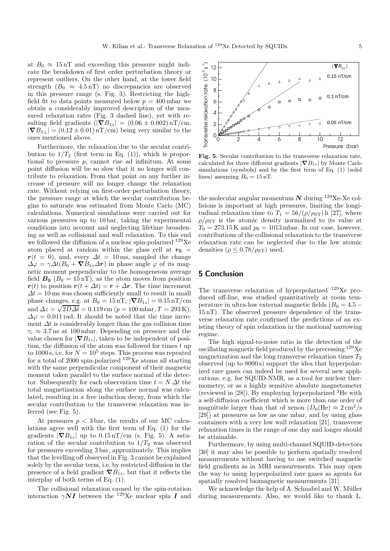at  $B_0 \approx 15 \,\mathrm{nT}$  and exceeding this pressure might indicate the breakdown of first order perturbation theory or represent outliers. On the other hand, at the lower field strength  $(B_0 \approx 4.5 \,\text{nT})$  no discrepancies are observed in this pressure range (s. Fig. 3). Restricting the highfield fit to data points measured below  $p = 400$  mbar we obtain a considerably improved description of the measured relaxation rates (Fig. 3 dashed line), yet with resulting field gradients ( $|\nabla B_{1z}| = (0.06 \pm 0.002) \,\text{nT/cm}$ ,  $|\nabla B_{1\perp}| = (0.12 \pm 0.01) \,\text{nT/cm}$  being very similar to the ones mentioned above.

Furthermore, the relaxation due to the secular contribution to  $1/T_2$  (first term in Eq. (1)), which is proportional to pressure p, cannot rise ad infinitum. At some point diffusion will be so slow that it no longer will contribute to relaxation. From that point on any further increase of pressure will no longer change the relaxation rate. Without relying on first-order perturbation theory, the pressure range at which the secular contribution begins to saturate was estimated from Monte Carlo (MC) calculations. Numerical simulations were carried out for various pressures up to 10 bar, taking the experimental conditions into account and neglecting lifetime broadening as well as collisional and wall relaxation. To this end we followed the diffusion of a nuclear spin-polarized <sup>129</sup>Xe atom placed at random within the glass cell at  $r_0$  =  $r(t = 0)$ , and, every  $\Delta t = 10$  ms, sampled the change  $\Delta \varphi = \gamma \Delta t (B_0 + \nabla B_{1z} \Delta r)$  in phase angle  $\varphi$  of its magnetic moment perpendicular to the homogeneous average field  $B_0$  ( $B_0 = 15 \text{ nT}$ ), as the atom moves from position  $r(t)$  to position  $r(t + \Delta t) = r + \Delta r$ . The time increment  $\Delta t = 10$  ms was chosen sufficiently small to result in small phase changes, e.g. at  $B_0 = 15 \,\text{nT}$ ,  $|\nabla B_{1z}| = 0.15 \,\text{nT/cm}$ and  $\Delta z = \sqrt{2D\Delta t} = 0.119$  cm  $(p = 100$  mbar,  $T = 293$  K),  $\Delta\varphi = 0.011$  rad. It should be noted that the time increment  $\Delta t$  is considerably longer than the gas collision time  $\tau_c \approx 3.7$  ns at 100 mbar. Depending on pressure and the value chosen for  $|\nabla B_{1z}|$ , taken to be independent of position, the diffusion of the atom was followed for times  $t$  up to  $1000$  s, i.e. for  $N = 10^5$  steps. This process was repeated for a total of 2000 spin-polarized  $129Xe$  atoms all starting with the same perpendicular component of their magnetic moment taken parallel to the surface normal of the detector. Subsequently for each observation time  $t = N \Delta t$  the total magnetization along the surface normal was calculated, resulting in a free induction decay, from which the secular contribution to the transverse relaxation was inferred (see Fig. 5).

At pressures  $p < 3$  bar, the results of our MC calculations agree well with the first term of Eq. (1) for the gradients  $|\nabla B_{1z}|$  up to  $0.15 \,\mathrm{nT/cm}$  (s. Fig. 5). A saturation of the secular contribution to  $1/T_2$  was observed for pressures exceeding 3 bar, approximately. This implies that the levelling off observed in Fig. 3 cannot be explained solely by the secular term, i.e. by restricted diffusion in the presence of a field gradient  $\nabla B_{1z}$ , but that it reflects the interplay of both terms of Eq. (1).

The collisional relaxation caused by the spin-rotation interaction  $\gamma N I$  between the <sup>129</sup>Xe nuclear spin I and



Fig. 5. Secular contribution to the transverse relaxation rate, calculated for three different gradients  $|\nabla B_{1z}|$  by Monte Carlo simulations (symbols) and by the first term of Eq. (1) (solid lines) assuming  $B_0 = 15 \,\text{nT}$ .

the molecular angular momentum  $N$  during <sup>129</sup>Xe-Xe collisions is important at high pressures, limiting the longitudinal relaxation time to  $T_1 = 56/(\rho/\rho_{ST})$  h [27], where  $\rho/\rho_{ST}$  is the atomic density normalized to its value at  $T_0 = 273.15 \text{ K}$  and  $p_0 = 1013 \text{ mbar}$ . In our case, however, contributions of the collisional relaxation to the transverse relaxation rate can be neglected due to the low atomic densities ( $\rho \leq 0.78/\rho_{ST}$ ) used.

#### 5 Conclusion

The transverse relaxation of hyperpolarized <sup>129</sup>Xe produced off-line, was studied quantitatively at room temperature in ultra-low external magnetic fields  $(B_0 = 4.5 -$ 15 nT). The observed pressure dependence of the transverse relaxation rate confirmed the predictions of an existing theory of spin relaxation in the motional narrowing regime.

The high signal-to-noise ratio in the detection of the oscillating magnetic field produced by the precessing <sup>129</sup>Xe magnetization and the long transverse relaxation times  $T_2$ observed (up to 8000 s) support the idea that hyperpolarized rare gases can indeed be used for several new applications, e.g. for SQUID-NMR, as a tool for nuclear thermometry, or as a highly sensitive absolute magnetometer (reviewed in  $[28]$ ). By employing hyperpolarized <sup>3</sup>He with a self-diffusion coefficient which is more than one order of magnitude larger than that of xenon  $(D_0(\text{He}) \approx 2 \text{ cm}^2/\text{s}$ [29]) at pressures as low as one mbar, and by using glass containers with a very low wall relaxation [21], transverse relaxation times in the range of one day and longer should be attainable.

Furthermore, by using multi-channel SQUID-detectors [30] it may also be possible to perform spatially resolved measurements without having to use switched magnetic field gradients as in MRI measurements. This may open the way to using hyperpolarized rare gases as agents for spatially resolved biomagnetic measurements [31].

We acknowledge the help of A. Schnabel and W. Müller during measurements. Also, we would like to thank L.